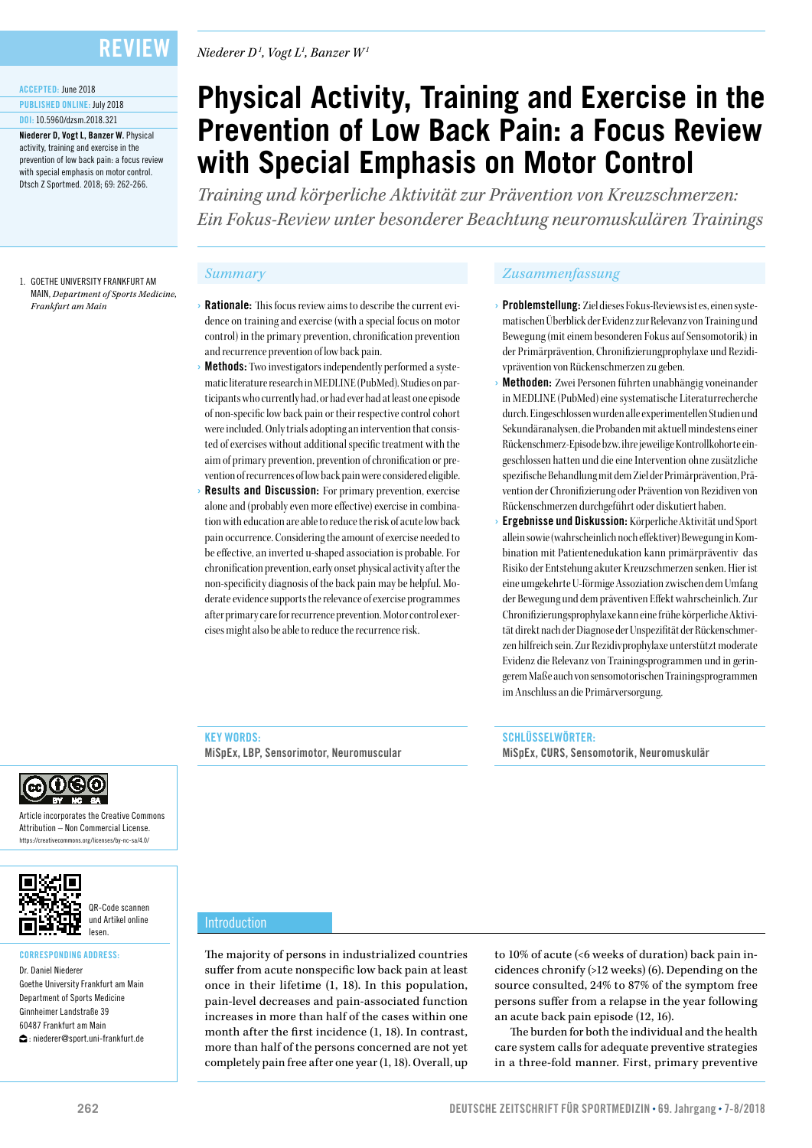## Review

### ACCEPTED: June 2018

PUBLISHED ONLINE: July 2018 DOI: 10.5960/dzsm.2018.321

Niederer D, Vogt L, Banzer W. Physical activity, training and exercise in the prevention of low back pain: a focus review with special emphasis on motor control. Dtsch Z Sportmed. 2018; 69: 262-266.

1. GOETHE UNIVERSITY FRANKFURT AM MAIN, *Department of Sports Medicine, Frankfurt am Main*

#### *Niederer D1 , Vogt L1 , Banzer W1*

# **Physical Activity, Training and Exercise in the Prevention of Low Back Pain: a Focus Review with Special Emphasis on Motor Control**

*Training und körperliche Aktivität zur Prävention von Kreuzschmerzen: Ein Fokus-Review unter besonderer Beachtung neuromuskulären Trainings*

- **Rationale:** This focus review aims to describe the current evidence on training and exercise (with a special focus on motor control) in the primary prevention, chronification prevention and recurrence prevention of low back pain.
- **Methods:** Two investigators independently performed a systematic literature research in MEDLINE (PubMed). Studies on participants who currently had, or had ever had at least one episode of non-specific low back pain or their respective control cohort were included. Only trials adopting an intervention that consisted of exercises without additional specific treatment with the aim of primary prevention, prevention of chronification or prevention of recurrences of low back pain were considered eligible.
- **Results and Discussion:** For primary prevention, exercise alone and (probably even more effective) exercise in combination with education are able to reduce the risk of acute low back pain occurrence. Considering the amount of exercise needed to be effective, an inverted u-shaped association is probable. For chronification prevention, early onset physical activity after the non-specificity diagnosis of the back pain may be helpful. Moderate evidence supports the relevance of exercise programmes after primary care for recurrence prevention. Motor control exercises might also be able to reduce the recurrence risk.

#### *Summary Zusammenfassung*

- › Problemstellung: Ziel dieses Fokus-Reviews ist es, einen systematischen Überblick der Evidenz zur Relevanz von Training und Bewegung (mit einem besonderen Fokus auf Sensomotorik) in der Primärprävention, Chronifizierungprophylaxe und Rezidivprävention von Rückenschmerzen zu geben.
- **Methoden:** Zwei Personen führten unabhängig voneinander in MEDLINE (PubMed) eine systematische Literaturrecherche durch. Eingeschlossen wurden alle experimentellen Studien und Sekundäranalysen, die Probanden mit aktuell mindestens einer Rückenschmerz-Episode bzw. ihre jeweilige Kontrollkohorte eingeschlossen hatten und die eine Intervention ohne zusätzliche spezifische Behandlung mit dem Ziel der Primärprävention, Prävention der Chronifizierung oder Prävention von Rezidiven von Rückenschmerzen durchgeführt oder diskutiert haben.
- › Ergebnisse und Diskussion: Körperliche Aktivität und Sport allein sowie (wahrscheinlich noch effektiver) Bewegung in Kombination mit Patientenedukation kann primärpräventiv das Risiko der Entstehung akuter Kreuzschmerzen senken. Hier ist eine umgekehrte U-förmige Assoziation zwischen dem Umfang der Bewegung und dem präventiven Effekt wahrscheinlich. Zur Chronifizierungsprophylaxe kann eine frühe körperliche Aktivität direkt nach der Diagnose der Unspezifität der Rückenschmerzen hilfreich sein. Zur Rezidivprophylaxe unterstützt moderate Evidenz die Relevanz von Trainingsprogrammen und in geringerem Maße auch von sensomotorischen Trainingsprogrammen im Anschluss an die Primärversorgung.

#### KEY WORDS:

MiSpEx, LBP, Sensorimotor, Neuromuscular

SCHLÜSSELWÖRTER: MiSpEx, CURS, Sensomotorik, Neuromuskulär



Article incorporates the Creative Commons Attribution – Non Commercial License. https://creativecommons.org/licenses/by-nc-sa/4.0/



QR-Code scannen und Artikel online lesen.

#### CORRESPONDING ADDRESS: Dr. Daniel Niederer

Goethe University Frankfurt am Main Department of Sports Medicine Ginnheimer Landstraße 39 60487 Frankfurt am Main  $\bigcirc$ : niederer@sport.uni-frankfurt.de

#### Introduction

The majority of persons in industrialized countries suffer from acute nonspecific low back pain at least once in their lifetime (1, 18). In this population, pain-level decreases and pain-associated function increases in more than half of the cases within one month after the first incidence (1, 18). In contrast, more than half of the persons concerned are not yet completely pain free after one year (1, 18). Overall, up

to 10% of acute (<6 weeks of duration) back pain incidences chronify (>12 weeks) (6). Depending on the source consulted, 24% to 87% of the symptom free persons suffer from a relapse in the year following an acute back pain episode (12, 16).

The burden for both the individual and the health care system calls for adequate preventive strategies in a three-fold manner. First, primary preventive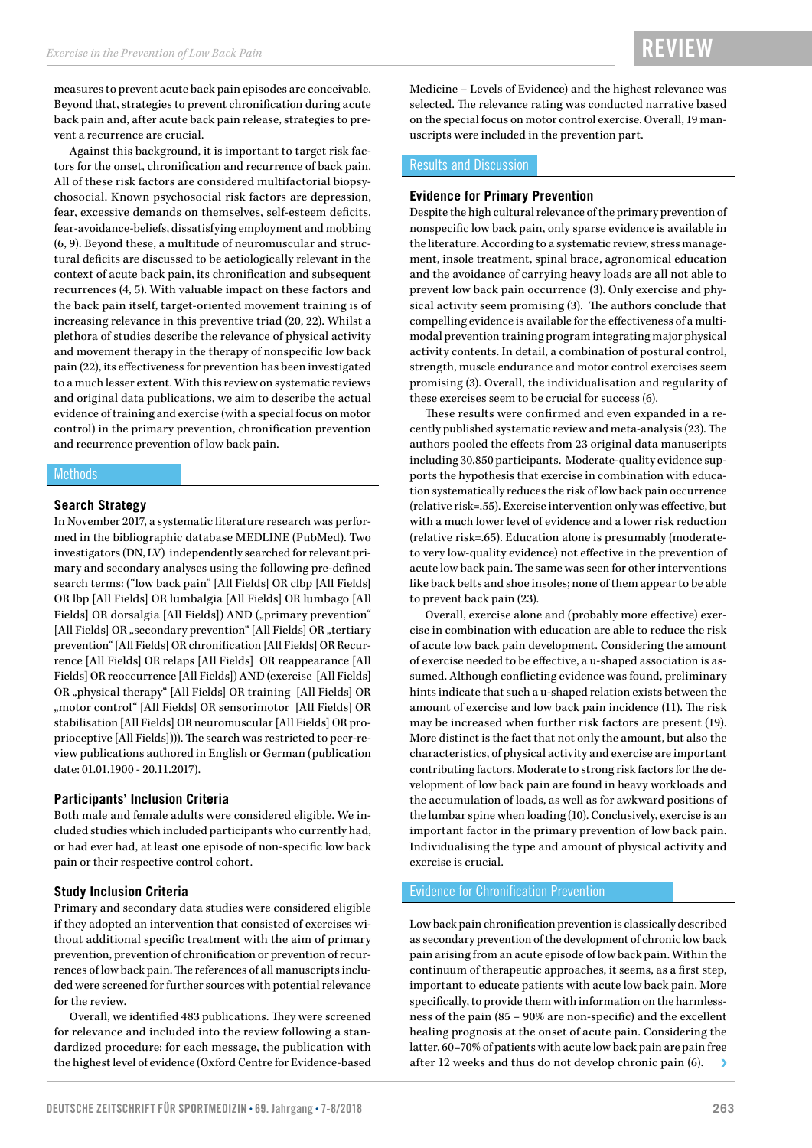measures to prevent acute back pain episodes are conceivable. Beyond that, strategies to prevent chronification during acute back pain and, after acute back pain release, strategies to prevent a recurrence are crucial.

Against this background, it is important to target risk factors for the onset, chronification and recurrence of back pain. All of these risk factors are considered multifactorial biopsychosocial. Known psychosocial risk factors are depression, fear, excessive demands on themselves, self-esteem deficits, fear-avoidance-beliefs, dissatisfying employment and mobbing (6, 9). Beyond these, a multitude of neuromuscular and structural deficits are discussed to be aetiologically relevant in the context of acute back pain, its chronification and subsequent recurrences (4, 5). With valuable impact on these factors and the back pain itself, target-oriented movement training is of increasing relevance in this preventive triad (20, 22). Whilst a plethora of studies describe the relevance of physical activity and movement therapy in the therapy of nonspecific low back pain (22), its effectiveness for prevention has been investigated to a much lesser extent. With this review on systematic reviews and original data publications, we aim to describe the actual evidence of training and exercise (with a special focus on motor control) in the primary prevention, chronification prevention and recurrence prevention of low back pain.

#### Methods

#### **Search Strategy**

In November 2017, a systematic literature research was performed in the bibliographic database MEDLINE (PubMed). Two investigators (DN, LV) independently searched for relevant primary and secondary analyses using the following pre-defined search terms: ("low back pain" [All Fields] OR clbp [All Fields] OR lbp [All Fields] OR lumbalgia [All Fields] OR lumbago [All Fields] OR dorsalgia [All Fields]) AND ("primary prevention" [All Fields] OR "secondary prevention" [All Fields] OR "tertiary prevention" [All Fields] OR chronification [All Fields] OR Recurrence [All Fields] OR relaps [All Fields] OR reappearance [All Fields] OR reoccurrence [All Fields]) AND (exercise [All Fields] OR "physical therapy" [All Fields] OR training [All Fields] OR "motor control" [All Fields] OR sensorimotor [All Fields] OR stabilisation [All Fields] OR neuromuscular [All Fields] OR proprioceptive [All Fields]))). The search was restricted to peer-review publications authored in English or German (publication date: 01.01.1900 - 20.11.2017).

#### **Participants' Inclusion Criteria**

Both male and female adults were considered eligible. We included studies which included participants who currently had, or had ever had, at least one episode of non-specific low back pain or their respective control cohort.

#### **Study Inclusion Criteria**

Primary and secondary data studies were considered eligible if they adopted an intervention that consisted of exercises without additional specific treatment with the aim of primary prevention, prevention of chronification or prevention of recurrences of low back pain. The references of all manuscripts included were screened for further sources with potential relevance for the review.

Overall, we identified 483 publications. They were screened for relevance and included into the review following a standardized procedure: for each message, the publication with the highest level of evidence (Oxford Centre for Evidence-based Medicine – Levels of Evidence) and the highest relevance was selected. The relevance rating was conducted narrative based on the special focus on motor control exercise. Overall, 19 manuscripts were included in the prevention part.

#### Results and Discussion

#### **Evidence for Primary Prevention**

Despite the high cultural relevance of the primary prevention of nonspecific low back pain, only sparse evidence is available in the literature. According to a systematic review, stress management, insole treatment, spinal brace, agronomical education and the avoidance of carrying heavy loads are all not able to prevent low back pain occurrence (3). Only exercise and physical activity seem promising (3). The authors conclude that compelling evidence is available for the effectiveness of a multimodal prevention training program integrating major physical activity contents. In detail, a combination of postural control, strength, muscle endurance and motor control exercises seem promising (3). Overall, the individualisation and regularity of these exercises seem to be crucial for success (6).

These results were confirmed and even expanded in a recently published systematic review and meta-analysis (23). The authors pooled the effects from 23 original data manuscripts including 30,850 participants. Moderate-quality evidence supports the hypothesis that exercise in combination with education systematically reduces the risk of low back pain occurrence (relative risk=.55). Exercise intervention only was effective, but with a much lower level of evidence and a lower risk reduction (relative risk=.65). Education alone is presumably (moderateto very low-quality evidence) not effective in the prevention of acute low back pain. The same was seen for other interventions like back belts and shoe insoles; none of them appear to be able to prevent back pain (23).

Overall, exercise alone and (probably more effective) exercise in combination with education are able to reduce the risk of acute low back pain development. Considering the amount of exercise needed to be effective, a u-shaped association is assumed. Although conflicting evidence was found, preliminary hints indicate that such a u-shaped relation exists between the amount of exercise and low back pain incidence (11). The risk may be increased when further risk factors are present (19). More distinct is the fact that not only the amount, but also the characteristics, of physical activity and exercise are important contributing factors. Moderate to strong risk factors for the development of low back pain are found in heavy workloads and the accumulation of loads, as well as for awkward positions of the lumbar spine when loading (10). Conclusively, exercise is an important factor in the primary prevention of low back pain. Individualising the type and amount of physical activity and exercise is crucial.

#### Evidence for Chronification Prevention

Low back pain chronification prevention is classically described as secondary prevention of the development of chronic low back pain arising from an acute episode of low back pain. Within the continuum of therapeutic approaches, it seems, as a first step, important to educate patients with acute low back pain. More specifically, to provide them with information on the harmlessness of the pain (85 – 90% are non-specific) and the excellent healing prognosis at the onset of acute pain. Considering the latter, 60–70% of patients with acute low back pain are pain free after 12 weeks and thus do not develop chronic pain (6).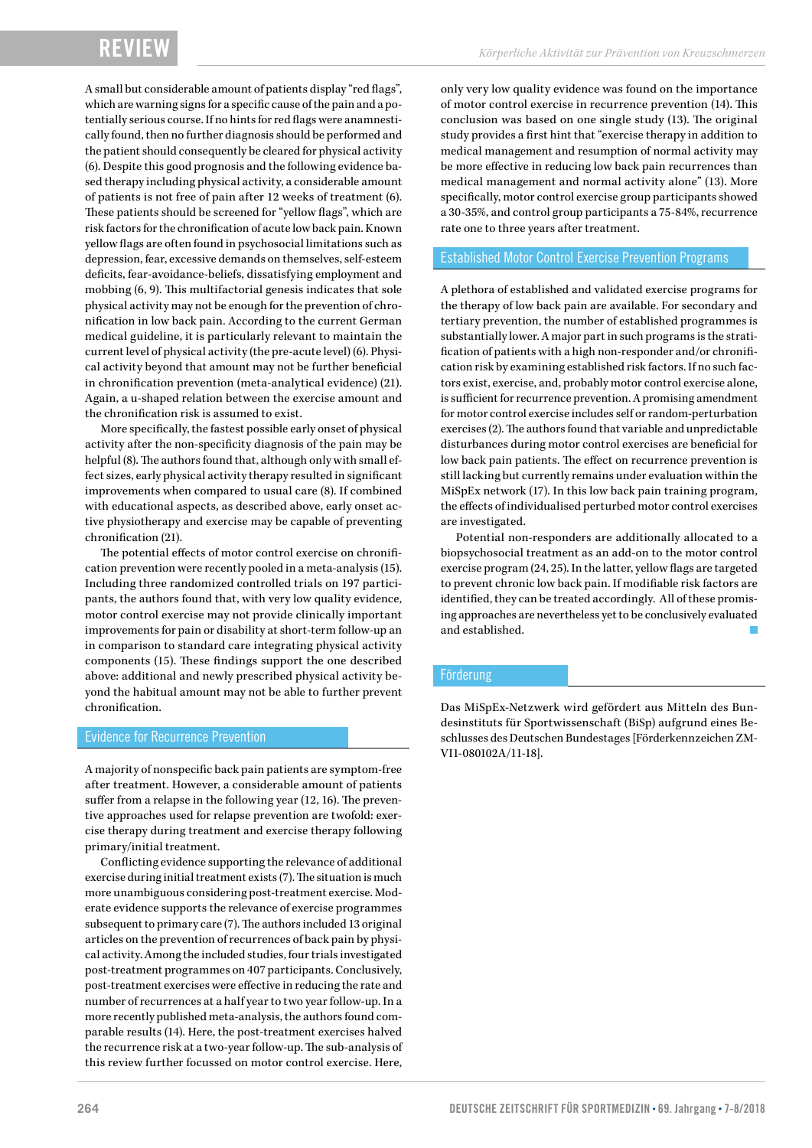A small but considerable amount of patients display "red flags", which are warning signs for a specific cause of the pain and a potentially serious course. If no hints for red flags were anamnestically found, then no further diagnosis should be performed and the patient should consequently be cleared for physical activity (6). Despite this good prognosis and the following evidence based therapy including physical activity, a considerable amount of patients is not free of pain after 12 weeks of treatment (6). These patients should be screened for "yellow flags", which are risk factors for the chronification of acute low back pain. Known yellow flags are often found in psychosocial limitations such as depression, fear, excessive demands on themselves, self-esteem deficits, fear-avoidance-beliefs, dissatisfying employment and mobbing (6, 9). This multifactorial genesis indicates that sole physical activity may not be enough for the prevention of chronification in low back pain. According to the current German medical guideline, it is particularly relevant to maintain the current level of physical activity (the pre-acute level) (6). Physical activity beyond that amount may not be further beneficial in chronification prevention (meta-analytical evidence) (21). Again, a u-shaped relation between the exercise amount and the chronification risk is assumed to exist.

More specifically, the fastest possible early onset of physical activity after the non-specificity diagnosis of the pain may be helpful (8). The authors found that, although only with small effect sizes, early physical activity therapy resulted in significant improvements when compared to usual care (8). If combined with educational aspects, as described above, early onset active physiotherapy and exercise may be capable of preventing chronification (21).

The potential effects of motor control exercise on chronification prevention were recently pooled in a meta-analysis (15). Including three randomized controlled trials on 197 participants, the authors found that, with very low quality evidence, motor control exercise may not provide clinically important improvements for pain or disability at short-term follow-up an in comparison to standard care integrating physical activity components (15). These findings support the one described above: additional and newly prescribed physical activity beyond the habitual amount may not be able to further prevent chronification.

#### Evidence for Recurrence Prevention

A majority of nonspecific back pain patients are symptom-free after treatment. However, a considerable amount of patients suffer from a relapse in the following year (12, 16). The preventive approaches used for relapse prevention are twofold: exercise therapy during treatment and exercise therapy following primary/initial treatment.

Conflicting evidence supporting the relevance of additional exercise during initial treatment exists (7). The situation is much more unambiguous considering post-treatment exercise. Moderate evidence supports the relevance of exercise programmes subsequent to primary care (7). The authors included 13 original articles on the prevention of recurrences of back pain by physical activity. Among the included studies, four trials investigated post-treatment programmes on 407 participants. Conclusively, post-treatment exercises were effective in reducing the rate and number of recurrences at a half year to two year follow-up. In a more recently published meta-analysis, the authors found comparable results (14). Here, the post-treatment exercises halved the recurrence risk at a two-year follow-up. The sub-analysis of this review further focussed on motor control exercise. Here,

only very low quality evidence was found on the importance of motor control exercise in recurrence prevention (14). This conclusion was based on one single study (13). The original study provides a first hint that "exercise therapy in addition to medical management and resumption of normal activity may be more effective in reducing low back pain recurrences than medical management and normal activity alone" (13). More specifically, motor control exercise group participants showed a 30-35%, and control group participants a 75-84%, recurrence rate one to three years after treatment.

#### Established Motor Control Exercise Prevention Programs

A plethora of established and validated exercise programs for the therapy of low back pain are available. For secondary and tertiary prevention, the number of established programmes is substantially lower. A major part in such programs is the stratification of patients with a high non-responder and/or chronification risk by examining established risk factors. If no such factors exist, exercise, and, probably motor control exercise alone, is sufficient for recurrence prevention. A promising amendment for motor control exercise includes self or random-perturbation exercises (2). The authors found that variable and unpredictable disturbances during motor control exercises are beneficial for low back pain patients. The effect on recurrence prevention is still lacking but currently remains under evaluation within the MiSpEx network (17). In this low back pain training program, the effects of individualised perturbed motor control exercises are investigated.

Potential non-responders are additionally allocated to a biopsychosocial treatment as an add-on to the motor control exercise program (24, 25). In the latter, yellow flags are targeted to prevent chronic low back pain. If modifiable risk factors are identified, they can be treated accordingly. All of these promising approaches are nevertheless yet to be conclusively evaluated and established.

#### Förderung

Das MiSpEx-Netzwerk wird gefördert aus Mitteln des Bundesinstituts für Sportwissenschaft (BiSp) aufgrund eines Beschlusses des Deutschen Bundestages [Förderkennzeichen ZM-VI1-080102A/11-18].